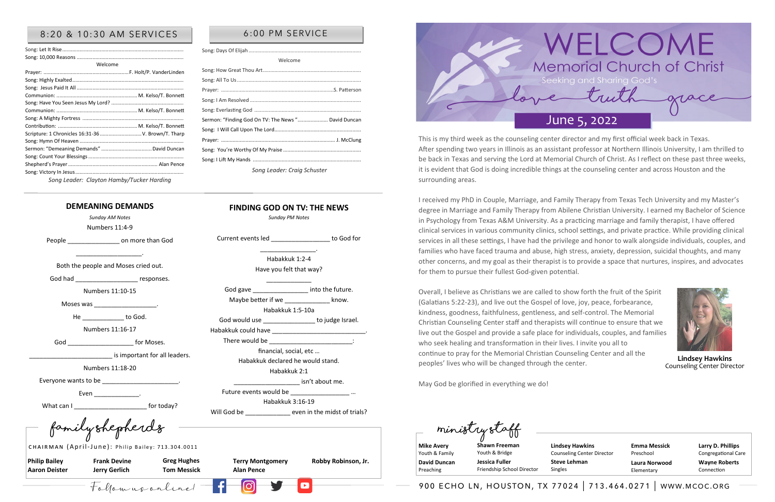Follow us online! 900 echo ln, houston, tx 77024 | 713.464.0271 | www.mcoc.org

**Philip Bailey Aaron Deister** 

**Frank Devine Jerry Gerlich**

|                   | Terry Montgome |
|-------------------|----------------|
| <b>Alan Pence</b> |                |

**Terry Montgomery Robby Robinson, Jr.** 

**Greg Hughes Tom Messick** 

**Family Shepherds Ministry Staff**

CHAIRMAN (April-June): Philip Bailey: 713.304.0011

**Mike Avery**  Youth & Family **David Duncan**  Preaching

**Larry D. Phillips** Congregational Care **Wayne Roberts** Connection

**Shawn Freeman** Youth & Bridge **Jessica Fuller** 

Friendship School Director

**Emma Messick** Preschool **Laura Norwood** Elementary



## 8:20 & 10:30 AM SERVICES | 6:00 PM SERVICE

| Welcome                                             |  |
|-----------------------------------------------------|--|
|                                                     |  |
|                                                     |  |
|                                                     |  |
|                                                     |  |
|                                                     |  |
|                                                     |  |
|                                                     |  |
|                                                     |  |
| Scripture: 1 Chronicles 16:31-36  V. Brown/T. Tharp |  |
|                                                     |  |
|                                                     |  |
|                                                     |  |
|                                                     |  |
|                                                     |  |
|                                                     |  |

Current events led \_\_\_\_\_\_\_\_\_\_\_\_\_\_\_\_\_ to God for \_\_\_\_\_\_\_\_\_\_\_\_\_\_\_\_. Habakkuk 1:2-4 Have you felt that way? \_\_\_\_\_\_\_\_\_\_\_\_\_ God gave **EXECUTE:** into the future. Maybe better if we **Example 20** know. Habakkuk 1:5-10a God would use **with the set of the set of the set of the set of the set of the set of the set of the set of the set of the set of the set of the set of the set of the set of the set of the set of the set of the set of the** 

Habakkuk 3:16-19 Will God be  $\qquad \qquad$  even in the midst of trials?

isn't about me.

| Welcome                                             |  |
|-----------------------------------------------------|--|
|                                                     |  |
|                                                     |  |
|                                                     |  |
|                                                     |  |
|                                                     |  |
| Sermon: "Finding God On TV: The News " David Duncan |  |
|                                                     |  |
|                                                     |  |
|                                                     |  |
|                                                     |  |
| Song Leader: Craig Schuster                         |  |

### *Song Leader: Clayton Hamby/Tucker Harding*

### **DEMEANING DEMANDS**

*Sunday AM Notes* 

Numbers 11:4-9

People **Department Condition** on more than God

\_\_\_\_\_\_\_\_\_\_\_\_\_\_\_\_\_\_\_. Both the people and Moses cried out.

God had \_\_\_\_\_\_\_\_\_\_\_\_\_\_\_\_\_\_\_\_\_\_\_\_ responses.

Numbers 11:10-15

Moses was the control of the control of the control of the control of the control of the control of the control of the control of the control of the control of the control of the control of the control of the control of th

He \_\_\_\_\_\_\_\_\_\_\_\_\_\_\_ to God.

Numbers 11:16-17

God **Figure 10** for Moses.

is important for all leaders.

Numbers 11:18-20

Everyone wants to be \_\_\_\_\_\_\_\_\_\_\_\_\_\_\_\_\_\_\_\_\_\_.

Even \_\_\_\_\_\_\_\_\_\_\_\_\_\_\_\_\_.

What can I can in the set of the set of the set of the set of the set of the set of the set of the set of the set of the set of the set of the set of the set of the set of the set of the set of the set of the set of the se

**FINDING GOD ON TV: THE NEWS** *Sunday PM Notes* 

Habakkuk could have \_\_\_\_\_\_\_\_\_\_\_\_\_\_\_\_\_\_\_\_\_\_\_\_\_\_\_.

Future events would be

There would be

financial, social, etc … Habakkuk declared he would stand. Habakkuk 2:1

> **Lindsey Hawkins** Counseling Center Director **Steve Lehman**

Singles

This is my third week as the counseling center director and my first official week back in Texas. After spending two years in Illinois as an assistant professor at Northern Illinois University, I am thrilled to be back in Texas and serving the Lord at Memorial Church of Christ. As I reflect on these past three weeks, it is evident that God is doing incredible things at the counseling center and across Houston and the surrounding areas.

I received my PhD in Couple, Marriage, and Family Therapy from Texas Tech University and my Master's degree in Marriage and Family Therapy from Abilene Christian University. I earned my Bachelor of Science in Psychology from Texas A&M University. As a practicing marriage and family therapist, I have offered clinical services in various community clinics, school settings, and private practice. While providing clinical services in all these settings, I have had the privilege and honor to walk alongside individuals, couples, and families who have faced trauma and abuse, high stress, anxiety, depression, suicidal thoughts, and many other concerns, and my goal as their therapist is to provide a space that nurtures, inspires, and advocates for them to pursue their fullest God-given potential.

Overall, I believe as Christians we are called to show forth the fruit of the Spirit (Galatians 5:22-23), and live out the Gospel of love, joy, peace, forbearance, kindness, goodness, faithfulness, gentleness, and self-control. The Memorial Christian Counseling Center staff and therapists will continue to ensure that we live out the Gospel and provide a safe place for individuals, couples, and families who seek healing and transformation in their lives. I invite you all to continue to pray for the Memorial Christian Counseling Center and all the peoples' lives who will be changed through the center.

May God be glorified in everything we do!



**Lindsey Hawkins** Counseling Center Director